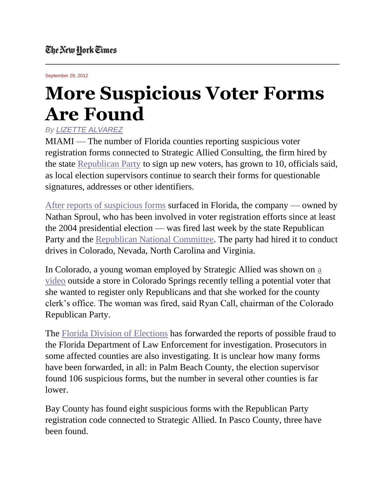September 20, 2012

## **More Suspicious Voter Forms Are Found**

## *By [LIZETTE ALVAREZ](http://topics.nytimes.com/top/reference/timestopics/people/a/lizette_alvarez/index.html)*

MIAMI — The number of Florida counties reporting suspicious voter registration forms connected to Strategic Allied Consulting, the firm hired by the state [Republican Party](http://topics.nytimes.com/top/reference/timestopics/organizations/r/republican_party/index.html?inline=nyt-org) to sign up new voters, has grown to 10, officials said, as local election supervisors continue to search their forms for questionable signatures, addresses or other identifiers.

[After reports of suspicious forms](http://www.nytimes.com/2012/09/29/us/politics/florida-gop-reports-suspect-voter-registration-forms.html) surfaced in Florida, the company — owned by Nathan Sproul, who has been involved in voter registration efforts since at least the 2004 presidential election — was fired last week by the state Republican Party and the [Republican National](http://topics.nytimes.com/top/reference/timestopics/organizations/r/republican_national_committee/index.html?inline=nyt-org) Committee. The party had hired it to conduct drives in Colorado, Nevada, North Carolina and Virginia.

In Colorado, a young woman employed by Strategic Allied was shown on [a](http://www.youtube.com/watch?feature=player_embedded&v=Rdk55dLsFhc) [video](http://www.youtube.com/watch?feature=player_embedded&v=Rdk55dLsFhc) outside a store in Colorado Springs recently telling a potential voter that she wanted to register only Republicans and that she worked for the county clerk's office. The woman was fired, said Ryan Call, chairman of the Colorado Republican Party.

The [Florida Division of Elections](http://election.dos.state.fl.us/) has forwarded the reports of possible fraud to the Florida Department of Law Enforcement for investigation. Prosecutors in some affected counties are also investigating. It is unclear how many forms have been forwarded, in all: in Palm Beach County, the election supervisor found 106 suspicious forms, but the number in several other counties is far lower.

Bay County has found eight suspicious forms with the Republican Party registration code connected to Strategic Allied. In Pasco County, three have been found.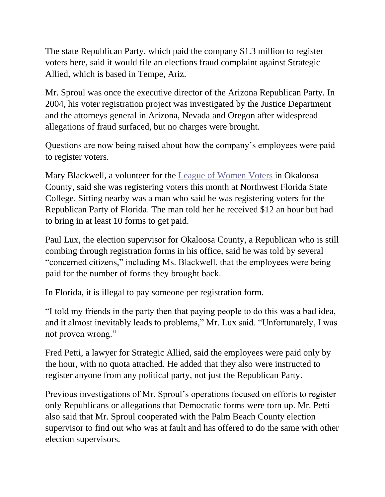The state Republican Party, which paid the company \$1.3 million to register voters here, said it would file an elections fraud complaint against Strategic Allied, which is based in Tempe, Ariz.

Mr. Sproul was once the executive director of the Arizona Republican Party. In 2004, his voter registration project was investigated by the Justice Department and the attorneys general in Arizona, Nevada and Oregon after widespread allegations of fraud surfaced, but no charges were brought.

Questions are now being raised about how the company's employees were paid to register voters.

Mary Blackwell, a volunteer for the [League of Women Voters](http://www.lwvokaloosa.org/) in Okaloosa County, said she was registering voters this month at Northwest Florida State College. Sitting nearby was a man who said he was registering voters for the Republican Party of Florida. The man told her he received \$12 an hour but had to bring in at least 10 forms to get paid.

Paul Lux, the election supervisor for Okaloosa County, a Republican who is still combing through registration forms in his office, said he was told by several "concerned citizens," including Ms. Blackwell, that the employees were being paid for the number of forms they brought back.

In Florida, it is illegal to pay someone per registration form.

"I told my friends in the party then that paying people to do this was a bad idea, and it almost inevitably leads to problems," Mr. Lux said. "Unfortunately, I was not proven wrong."

Fred Petti, a lawyer for Strategic Allied, said the employees were paid only by the hour, with no quota attached. He added that they also were instructed to register anyone from any political party, not just the Republican Party.

Previous investigations of Mr. Sproul's operations focused on efforts to register only Republicans or allegations that Democratic forms were torn up. Mr. Petti also said that Mr. Sproul cooperated with the Palm Beach County election supervisor to find out who was at fault and has offered to do the same with other election supervisors.